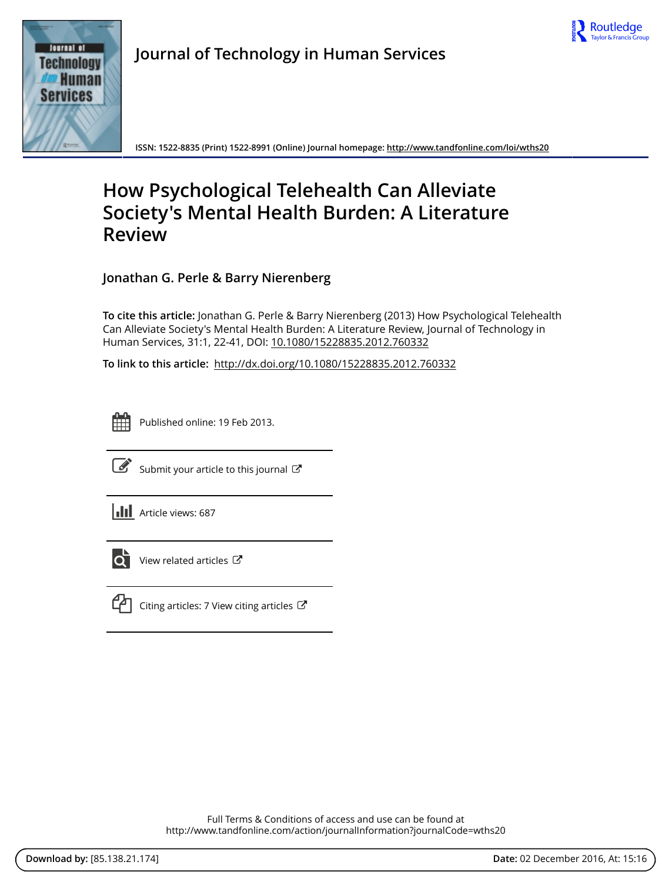



**Journal of Technology in Human Services**

**ISSN: 1522-8835 (Print) 1522-8991 (Online) Journal homepage:<http://www.tandfonline.com/loi/wths20>**

# **How Psychological Telehealth Can Alleviate Society's Mental Health Burden: A Literature Review**

**Jonathan G. Perle & Barry Nierenberg**

**To cite this article:** Jonathan G. Perle & Barry Nierenberg (2013) How Psychological Telehealth Can Alleviate Society's Mental Health Burden: A Literature Review, Journal of Technology in Human Services, 31:1, 22-41, DOI: [10.1080/15228835.2012.760332](http://www.tandfonline.com/action/showCitFormats?doi=10.1080/15228835.2012.760332)

**To link to this article:** <http://dx.doi.org/10.1080/15228835.2012.760332>



Published online: 19 Feb 2013.



 $\overline{\mathscr{L}}$  [Submit your article to this journal](http://www.tandfonline.com/action/authorSubmission?journalCode=wths20&show=instructions)  $\mathbb{F}$ 





 $\overrightarrow{Q}$  [View related articles](http://www.tandfonline.com/doi/mlt/10.1080/15228835.2012.760332)  $\overrightarrow{C}$ 



 $\Box$  [Citing articles: 7 View citing articles](http://www.tandfonline.com/doi/citedby/10.1080/15228835.2012.760332#tabModule)  $\Box$ 

Full Terms & Conditions of access and use can be found at <http://www.tandfonline.com/action/journalInformation?journalCode=wths20>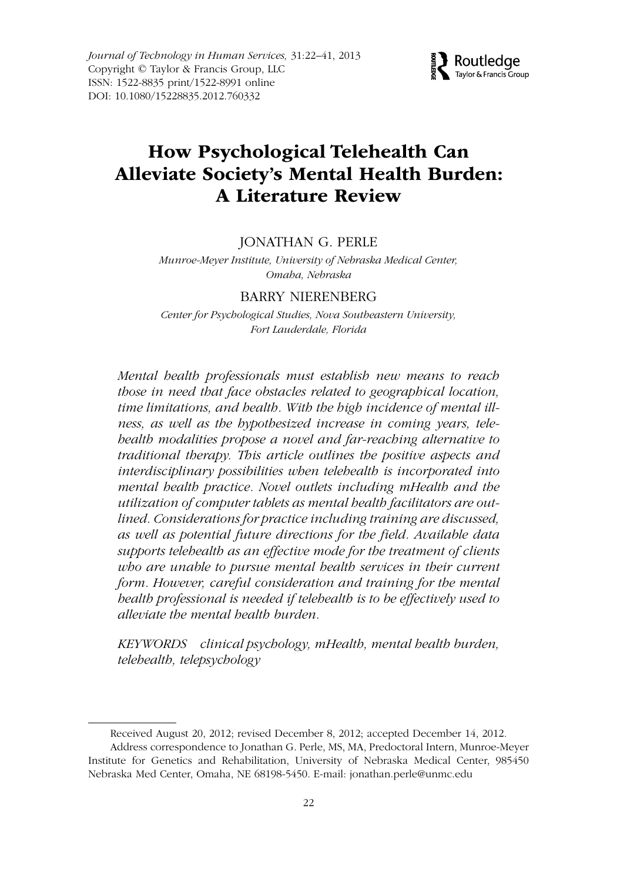Journal of Technology in Human Services, 31:22–41, 2013 Copyright © Taylor & Francis Group, LLC ISSN: 1522-8835 print/1522-8991 online DOI: 10.1080/15228835.2012.760332



# **How Psychological Telehealth Can Alleviate Society's Mental Health Burden: A Literature Review**

#### JONATHAN G. PERLE

Munroe-Meyer Institute, University of Nebraska Medical Center, Omaha, Nebraska

#### BARRY NIERENBERG

Center for Psychological Studies, Nova Southeastern University, Fort Lauderdale, Florida

Mental health professionals must establish new means to reach those in need that face obstacles related to geographical location, time limitations, and health. With the high incidence of mental illness, as well as the hypothesized increase in coming years, telehealth modalities propose a novel and far-reaching alternative to traditional therapy. This article outlines the positive aspects and interdisciplinary possibilities when telehealth is incorporated into mental health practice. Novel outlets including mHealth and the utilization of computer tablets as mental health facilitators are outlined. Considerations for practice including training are discussed, as well as potential future directions for the field. Available data supports telehealth as an effective mode for the treatment of clients who are unable to pursue mental health services in their current form. However, careful consideration and training for the mental health professional is needed if telehealth is to be effectively used to alleviate the mental health burden.

KEYWORDS clinical psychology, mHealth, mental health burden, telehealth, telepsychology

Received August 20, 2012; revised December 8, 2012; accepted December 14, 2012.

Address correspondence to Jonathan G. Perle, MS, MA, Predoctoral Intern, Munroe-Meyer Institute for Genetics and Rehabilitation, University of Nebraska Medical Center, 985450 Nebraska Med Center, Omaha, NE 68198-5450. E-mail: jonathan.perle@unmc.edu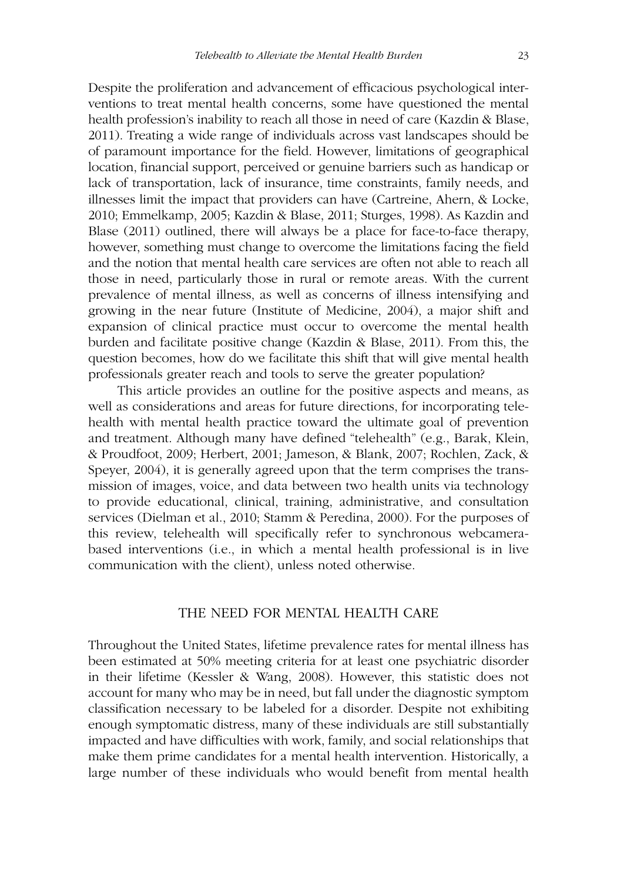Despite the proliferation and advancement of efficacious psychological interventions to treat mental health concerns, some have questioned the mental health profession's inability to reach all those in need of care (Kazdin & Blase, 2011). Treating a wide range of individuals across vast landscapes should be of paramount importance for the field. However, limitations of geographical location, financial support, perceived or genuine barriers such as handicap or lack of transportation, lack of insurance, time constraints, family needs, and illnesses limit the impact that providers can have (Cartreine, Ahern, & Locke, 2010; Emmelkamp, 2005; Kazdin & Blase, 2011; Sturges, 1998). As Kazdin and Blase (2011) outlined, there will always be a place for face-to-face therapy, however, something must change to overcome the limitations facing the field and the notion that mental health care services are often not able to reach all those in need, particularly those in rural or remote areas. With the current prevalence of mental illness, as well as concerns of illness intensifying and growing in the near future (Institute of Medicine, 2004), a major shift and expansion of clinical practice must occur to overcome the mental health burden and facilitate positive change (Kazdin & Blase, 2011). From this, the question becomes, how do we facilitate this shift that will give mental health professionals greater reach and tools to serve the greater population?

This article provides an outline for the positive aspects and means, as well as considerations and areas for future directions, for incorporating telehealth with mental health practice toward the ultimate goal of prevention and treatment. Although many have defined "telehealth" (e.g., Barak, Klein, & Proudfoot, 2009; Herbert, 2001; Jameson, & Blank, 2007; Rochlen, Zack, & Speyer, 2004), it is generally agreed upon that the term comprises the transmission of images, voice, and data between two health units via technology to provide educational, clinical, training, administrative, and consultation services (Dielman et al., 2010; Stamm & Peredina, 2000). For the purposes of this review, telehealth will specifically refer to synchronous webcamerabased interventions (i.e., in which a mental health professional is in live communication with the client), unless noted otherwise.

#### THE NEED FOR MENTAL HEALTH CARE

Throughout the United States, lifetime prevalence rates for mental illness has been estimated at 50% meeting criteria for at least one psychiatric disorder in their lifetime (Kessler & Wang, 2008). However, this statistic does not account for many who may be in need, but fall under the diagnostic symptom classification necessary to be labeled for a disorder. Despite not exhibiting enough symptomatic distress, many of these individuals are still substantially impacted and have difficulties with work, family, and social relationships that make them prime candidates for a mental health intervention. Historically, a large number of these individuals who would benefit from mental health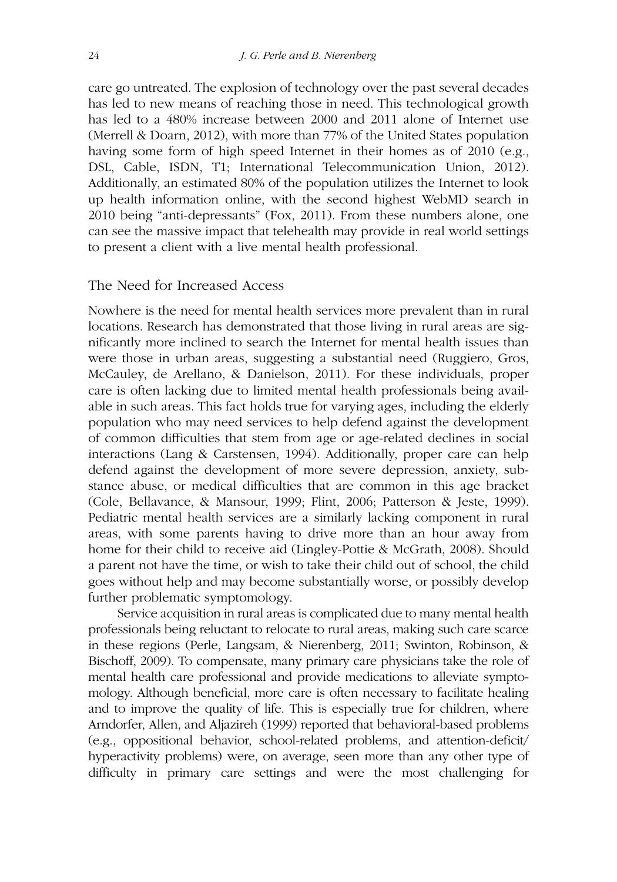care go untreated. The explosion of technology over the past several decades has led to new means of reaching those in need. This technological growth has led to a 480% increase between 2000 and 2011 alone of Internet use (Merrell & Doarn, 2012), with more than 77% of the United States population having some form of high speed Internet in their homes as of 2010 (e.g., DSL, Cable, ISDN, T1; International Telecommunication Union, 2012). Additionally, an estimated 80% of the population utilizes the Internet to look up health information online, with the second highest WebMD search in 2010 being "anti-depressants" (Fox, 2011). From these numbers alone, one can see the massive impact that telehealth may provide in real world settings to present a client with a live mental health professional.

#### The Need for Increased Access

Nowhere is the need for mental health services more prevalent than in rural locations. Research has demonstrated that those living in rural areas are significantly more inclined to search the Internet for mental health issues than were those in urban areas, suggesting a substantial need (Ruggiero, Gros, McCauley, de Arellano, & Danielson, 2011). For these individuals, proper care is often lacking due to limited mental health professionals being available in such areas. This fact holds true for varying ages, including the elderly population who may need services to help defend against the development of common difficulties that stem from age or age-related declines in social interactions (Lang & Carstensen, 1994). Additionally, proper care can help defend against the development of more severe depression, anxiety, substance abuse, or medical difficulties that are common in this age bracket (Cole, Bellavance, & Mansour, 1999; Flint, 2006; Patterson & Jeste, 1999). Pediatric mental health services are a similarly lacking component in rural areas, with some parents having to drive more than an hour away from home for their child to receive aid (Lingley-Pottie & McGrath, 2008). Should a parent not have the time, or wish to take their child out of school, the child goes without help and may become substantially worse, or possibly develop further problematic symptomology.

Service acquisition in rural areas is complicated due to many mental health professionals being reluctant to relocate to rural areas, making such care scarce in these regions (Perle, Langsam, & Nierenberg, 2011; Swinton, Robinson, & Bischoff, 2009). To compensate, many primary care physicians take the role of mental health care professional and provide medications to alleviate symptomology. Although beneficial, more care is often necessary to facilitate healing and to improve the quality of life. This is especially true for children, where Arndorfer, Allen, and Aljazireh (1999) reported that behavioral-based problems (e.g., oppositional behavior, school-related problems, and attention-deficit/ hyperactivity problems) were, on average, seen more than any other type of difficulty in primary care settings and were the most challenging for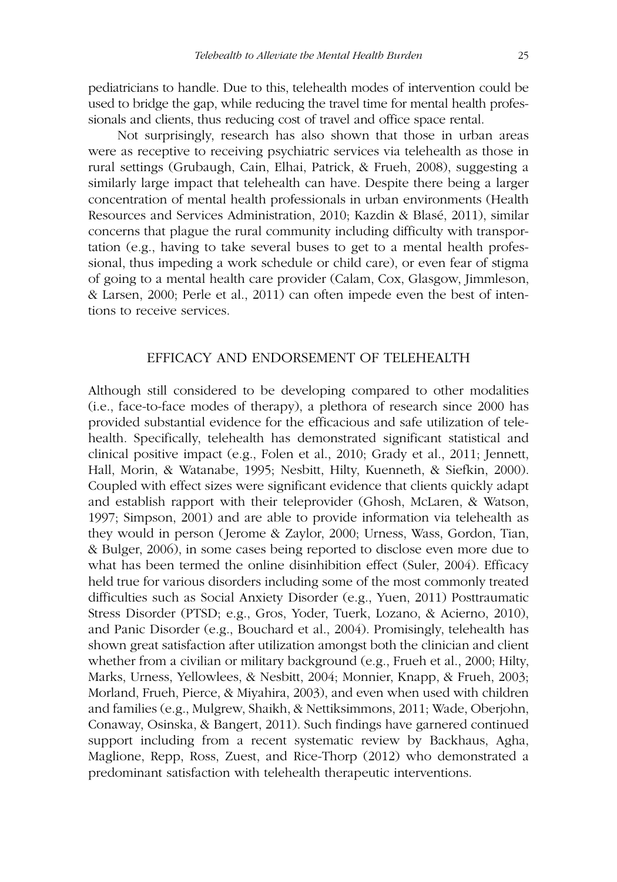pediatricians to handle. Due to this, telehealth modes of intervention could be used to bridge the gap, while reducing the travel time for mental health professionals and clients, thus reducing cost of travel and office space rental.

Not surprisingly, research has also shown that those in urban areas were as receptive to receiving psychiatric services via telehealth as those in rural settings (Grubaugh, Cain, Elhai, Patrick, & Frueh, 2008), suggesting a similarly large impact that telehealth can have. Despite there being a larger concentration of mental health professionals in urban environments (Health Resources and Services Administration, 2010; Kazdin & Blasé, 2011), similar concerns that plague the rural community including difficulty with transportation (e.g., having to take several buses to get to a mental health professional, thus impeding a work schedule or child care), or even fear of stigma of going to a mental health care provider (Calam, Cox, Glasgow, Jimmleson, & Larsen, 2000; Perle et al., 2011) can often impede even the best of intentions to receive services.

#### EFFICACY AND ENDORSEMENT OF TELEHEALTH

Although still considered to be developing compared to other modalities (i.e., face-to-face modes of therapy), a plethora of research since 2000 has provided substantial evidence for the efficacious and safe utilization of telehealth. Specifically, telehealth has demonstrated significant statistical and clinical positive impact (e.g., Folen et al., 2010; Grady et al., 2011; Jennett, Hall, Morin, & Watanabe, 1995; Nesbitt, Hilty, Kuenneth, & Siefkin, 2000). Coupled with effect sizes were significant evidence that clients quickly adapt and establish rapport with their teleprovider (Ghosh, McLaren, & Watson, 1997; Simpson, 2001) and are able to provide information via telehealth as they would in person (Jerome & Zaylor, 2000; Urness, Wass, Gordon, Tian, & Bulger, 2006), in some cases being reported to disclose even more due to what has been termed the online disinhibition effect (Suler, 2004). Efficacy held true for various disorders including some of the most commonly treated difficulties such as Social Anxiety Disorder (e.g., Yuen, 2011) Posttraumatic Stress Disorder (PTSD; e.g., Gros, Yoder, Tuerk, Lozano, & Acierno, 2010), and Panic Disorder (e.g., Bouchard et al., 2004). Promisingly, telehealth has shown great satisfaction after utilization amongst both the clinician and client whether from a civilian or military background (e.g., Frueh et al., 2000; Hilty, Marks, Urness, Yellowlees, & Nesbitt, 2004; Monnier, Knapp, & Frueh, 2003; Morland, Frueh, Pierce, & Miyahira, 2003), and even when used with children and families (e.g., Mulgrew, Shaikh, & Nettiksimmons, 2011; Wade, Oberjohn, Conaway, Osinska, & Bangert, 2011). Such findings have garnered continued support including from a recent systematic review by Backhaus, Agha, Maglione, Repp, Ross, Zuest, and Rice-Thorp (2012) who demonstrated a predominant satisfaction with telehealth therapeutic interventions.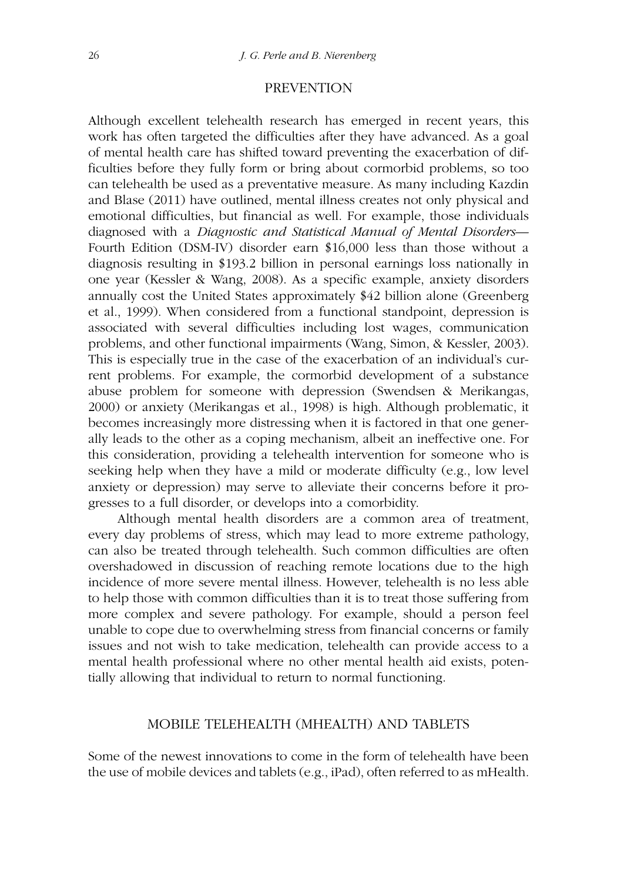#### PREVENTION

Although excellent telehealth research has emerged in recent years, this work has often targeted the difficulties after they have advanced. As a goal of mental health care has shifted toward preventing the exacerbation of difficulties before they fully form or bring about cormorbid problems, so too can telehealth be used as a preventative measure. As many including Kazdin and Blase (2011) have outlined, mental illness creates not only physical and emotional difficulties, but financial as well. For example, those individuals diagnosed with a Diagnostic and Statistical Manual of Mental Disorders— Fourth Edition (DSM-IV) disorder earn \$16,000 less than those without a diagnosis resulting in \$193.2 billion in personal earnings loss nationally in one year (Kessler & Wang, 2008). As a specific example, anxiety disorders annually cost the United States approximately \$42 billion alone (Greenberg et al., 1999). When considered from a functional standpoint, depression is associated with several difficulties including lost wages, communication problems, and other functional impairments (Wang, Simon, & Kessler, 2003). This is especially true in the case of the exacerbation of an individual's current problems. For example, the cormorbid development of a substance abuse problem for someone with depression (Swendsen & Merikangas, 2000) or anxiety (Merikangas et al., 1998) is high. Although problematic, it becomes increasingly more distressing when it is factored in that one generally leads to the other as a coping mechanism, albeit an ineffective one. For this consideration, providing a telehealth intervention for someone who is seeking help when they have a mild or moderate difficulty (e.g., low level anxiety or depression) may serve to alleviate their concerns before it progresses to a full disorder, or develops into a comorbidity.

Although mental health disorders are a common area of treatment, every day problems of stress, which may lead to more extreme pathology, can also be treated through telehealth. Such common difficulties are often overshadowed in discussion of reaching remote locations due to the high incidence of more severe mental illness. However, telehealth is no less able to help those with common difficulties than it is to treat those suffering from more complex and severe pathology. For example, should a person feel unable to cope due to overwhelming stress from financial concerns or family issues and not wish to take medication, telehealth can provide access to a mental health professional where no other mental health aid exists, potentially allowing that individual to return to normal functioning.

#### MOBILE TELEHEALTH (MHEALTH) AND TABLETS

Some of the newest innovations to come in the form of telehealth have been the use of mobile devices and tablets (e.g., iPad), often referred to as mHealth.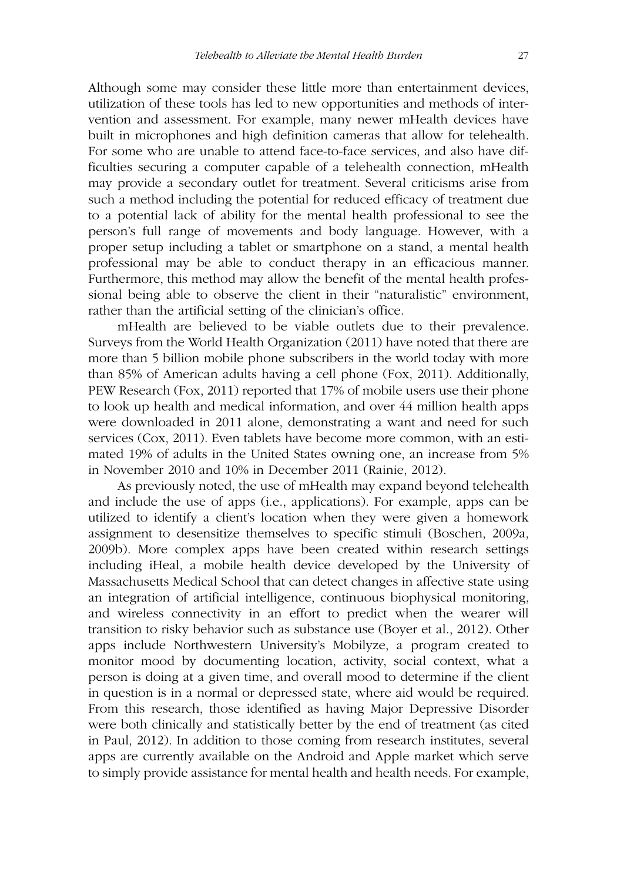Although some may consider these little more than entertainment devices, utilization of these tools has led to new opportunities and methods of intervention and assessment. For example, many newer mHealth devices have built in microphones and high definition cameras that allow for telehealth. For some who are unable to attend face-to-face services, and also have difficulties securing a computer capable of a telehealth connection, mHealth may provide a secondary outlet for treatment. Several criticisms arise from such a method including the potential for reduced efficacy of treatment due to a potential lack of ability for the mental health professional to see the person's full range of movements and body language. However, with a proper setup including a tablet or smartphone on a stand, a mental health professional may be able to conduct therapy in an efficacious manner. Furthermore, this method may allow the benefit of the mental health professional being able to observe the client in their "naturalistic" environment, rather than the artificial setting of the clinician's office.

mHealth are believed to be viable outlets due to their prevalence. Surveys from the World Health Organization (2011) have noted that there are more than 5 billion mobile phone subscribers in the world today with more than 85% of American adults having a cell phone (Fox, 2011). Additionally, PEW Research (Fox, 2011) reported that 17% of mobile users use their phone to look up health and medical information, and over 44 million health apps were downloaded in 2011 alone, demonstrating a want and need for such services (Cox, 2011). Even tablets have become more common, with an estimated 19% of adults in the United States owning one, an increase from 5% in November 2010 and 10% in December 2011 (Rainie, 2012).

As previously noted, the use of mHealth may expand beyond telehealth and include the use of apps (i.e., applications). For example, apps can be utilized to identify a client's location when they were given a homework assignment to desensitize themselves to specific stimuli (Boschen, 2009a, 2009b). More complex apps have been created within research settings including iHeal, a mobile health device developed by the University of Massachusetts Medical School that can detect changes in affective state using an integration of artificial intelligence, continuous biophysical monitoring, and wireless connectivity in an effort to predict when the wearer will transition to risky behavior such as substance use (Boyer et al., 2012). Other apps include Northwestern University's Mobilyze, a program created to monitor mood by documenting location, activity, social context, what a person is doing at a given time, and overall mood to determine if the client in question is in a normal or depressed state, where aid would be required. From this research, those identified as having Major Depressive Disorder were both clinically and statistically better by the end of treatment (as cited in Paul, 2012). In addition to those coming from research institutes, several apps are currently available on the Android and Apple market which serve to simply provide assistance for mental health and health needs. For example,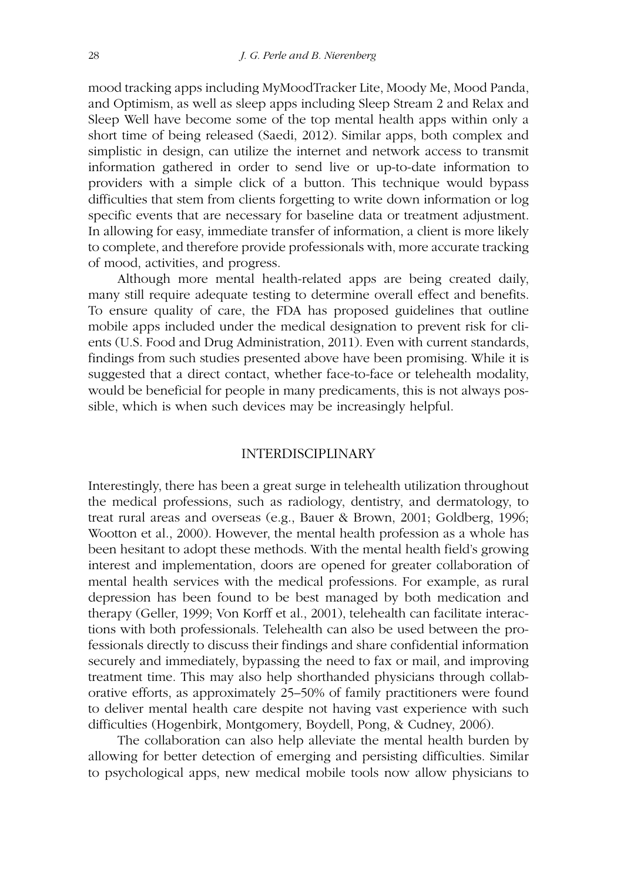mood tracking apps including MyMoodTracker Lite, Moody Me, Mood Panda, and Optimism, as well as sleep apps including Sleep Stream 2 and Relax and Sleep Well have become some of the top mental health apps within only a short time of being released (Saedi, 2012). Similar apps, both complex and simplistic in design, can utilize the internet and network access to transmit information gathered in order to send live or up-to-date information to providers with a simple click of a button. This technique would bypass difficulties that stem from clients forgetting to write down information or log specific events that are necessary for baseline data or treatment adjustment. In allowing for easy, immediate transfer of information, a client is more likely to complete, and therefore provide professionals with, more accurate tracking of mood, activities, and progress.

Although more mental health-related apps are being created daily, many still require adequate testing to determine overall effect and benefits. To ensure quality of care, the FDA has proposed guidelines that outline mobile apps included under the medical designation to prevent risk for clients (U.S. Food and Drug Administration, 2011). Even with current standards, findings from such studies presented above have been promising. While it is suggested that a direct contact, whether face-to-face or telehealth modality, would be beneficial for people in many predicaments, this is not always possible, which is when such devices may be increasingly helpful.

#### INTERDISCIPLINARY

Interestingly, there has been a great surge in telehealth utilization throughout the medical professions, such as radiology, dentistry, and dermatology, to treat rural areas and overseas (e.g., Bauer & Brown, 2001; Goldberg, 1996; Wootton et al., 2000). However, the mental health profession as a whole has been hesitant to adopt these methods. With the mental health field's growing interest and implementation, doors are opened for greater collaboration of mental health services with the medical professions. For example, as rural depression has been found to be best managed by both medication and therapy (Geller, 1999; Von Korff et al., 2001), telehealth can facilitate interactions with both professionals. Telehealth can also be used between the professionals directly to discuss their findings and share confidential information securely and immediately, bypassing the need to fax or mail, and improving treatment time. This may also help shorthanded physicians through collaborative efforts, as approximately 25–50% of family practitioners were found to deliver mental health care despite not having vast experience with such difficulties (Hogenbirk, Montgomery, Boydell, Pong, & Cudney, 2006).

The collaboration can also help alleviate the mental health burden by allowing for better detection of emerging and persisting difficulties. Similar to psychological apps, new medical mobile tools now allow physicians to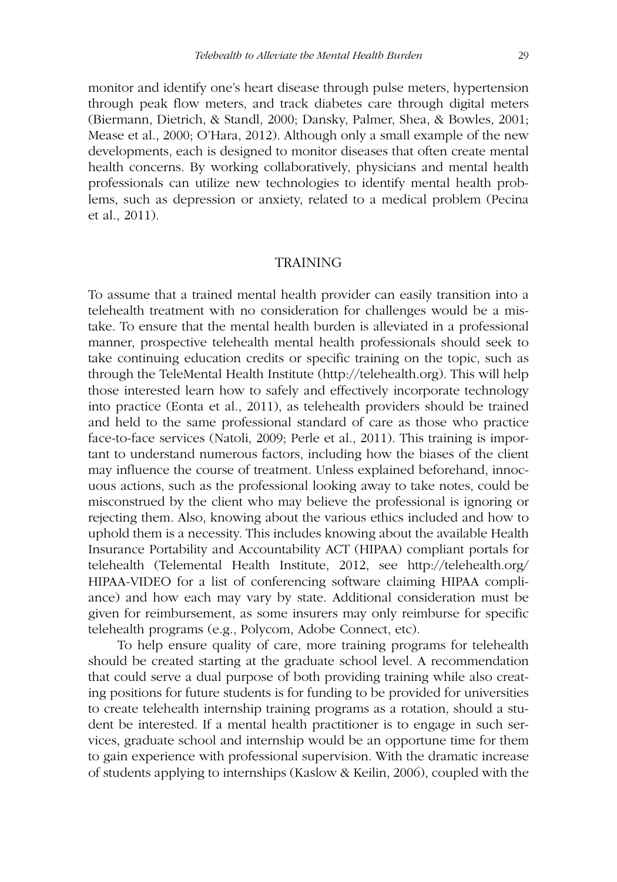monitor and identify one's heart disease through pulse meters, hypertension through peak flow meters, and track diabetes care through digital meters (Biermann, Dietrich, & Standl, 2000; Dansky, Palmer, Shea, & Bowles, 2001; Mease et al., 2000; O'Hara, 2012). Although only a small example of the new developments, each is designed to monitor diseases that often create mental health concerns. By working collaboratively, physicians and mental health professionals can utilize new technologies to identify mental health problems, such as depression or anxiety, related to a medical problem (Pecina et al., 2011).

#### **TRAINING**

To assume that a trained mental health provider can easily transition into a telehealth treatment with no consideration for challenges would be a mistake. To ensure that the mental health burden is alleviated in a professional manner, prospective telehealth mental health professionals should seek to take continuing education credits or specific training on the topic, such as through the TeleMental Health Institute (http://telehealth.org). This will help those interested learn how to safely and effectively incorporate technology into practice (Eonta et al., 2011), as telehealth providers should be trained and held to the same professional standard of care as those who practice face-to-face services (Natoli, 2009; Perle et al., 2011). This training is important to understand numerous factors, including how the biases of the client may influence the course of treatment. Unless explained beforehand, innocuous actions, such as the professional looking away to take notes, could be misconstrued by the client who may believe the professional is ignoring or rejecting them. Also, knowing about the various ethics included and how to uphold them is a necessity. This includes knowing about the available Health Insurance Portability and Accountability ACT (HIPAA) compliant portals for telehealth (Telemental Health Institute, 2012, see http://telehealth.org/ HIPAA-VIDEO for a list of conferencing software claiming HIPAA compliance) and how each may vary by state. Additional consideration must be given for reimbursement, as some insurers may only reimburse for specific telehealth programs (e.g., Polycom, Adobe Connect, etc).

To help ensure quality of care, more training programs for telehealth should be created starting at the graduate school level. A recommendation that could serve a dual purpose of both providing training while also creating positions for future students is for funding to be provided for universities to create telehealth internship training programs as a rotation, should a student be interested. If a mental health practitioner is to engage in such services, graduate school and internship would be an opportune time for them to gain experience with professional supervision. With the dramatic increase of students applying to internships (Kaslow & Keilin, 2006), coupled with the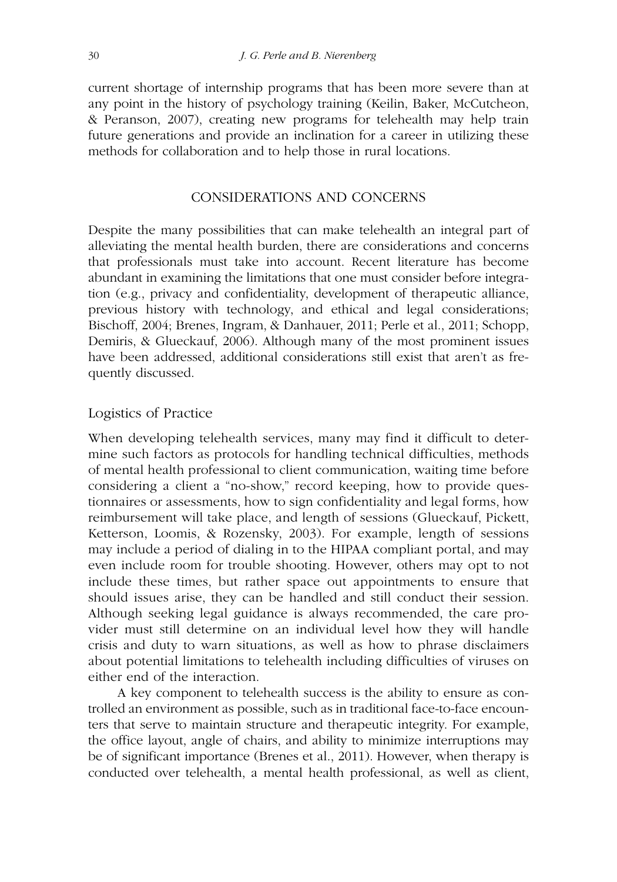current shortage of internship programs that has been more severe than at any point in the history of psychology training (Keilin, Baker, McCutcheon, & Peranson, 2007), creating new programs for telehealth may help train future generations and provide an inclination for a career in utilizing these methods for collaboration and to help those in rural locations.

#### CONSIDERATIONS AND CONCERNS

Despite the many possibilities that can make telehealth an integral part of alleviating the mental health burden, there are considerations and concerns that professionals must take into account. Recent literature has become abundant in examining the limitations that one must consider before integration (e.g., privacy and confidentiality, development of therapeutic alliance, previous history with technology, and ethical and legal considerations; Bischoff, 2004; Brenes, Ingram, & Danhauer, 2011; Perle et al., 2011; Schopp, Demiris, & Glueckauf, 2006). Although many of the most prominent issues have been addressed, additional considerations still exist that aren't as frequently discussed.

#### Logistics of Practice

When developing telehealth services, many may find it difficult to determine such factors as protocols for handling technical difficulties, methods of mental health professional to client communication, waiting time before considering a client a "no-show," record keeping, how to provide questionnaires or assessments, how to sign confidentiality and legal forms, how reimbursement will take place, and length of sessions (Glueckauf, Pickett, Ketterson, Loomis, & Rozensky, 2003). For example, length of sessions may include a period of dialing in to the HIPAA compliant portal, and may even include room for trouble shooting. However, others may opt to not include these times, but rather space out appointments to ensure that should issues arise, they can be handled and still conduct their session. Although seeking legal guidance is always recommended, the care provider must still determine on an individual level how they will handle crisis and duty to warn situations, as well as how to phrase disclaimers about potential limitations to telehealth including difficulties of viruses on either end of the interaction.

A key component to telehealth success is the ability to ensure as controlled an environment as possible, such as in traditional face-to-face encounters that serve to maintain structure and therapeutic integrity. For example, the office layout, angle of chairs, and ability to minimize interruptions may be of significant importance (Brenes et al., 2011). However, when therapy is conducted over telehealth, a mental health professional, as well as client,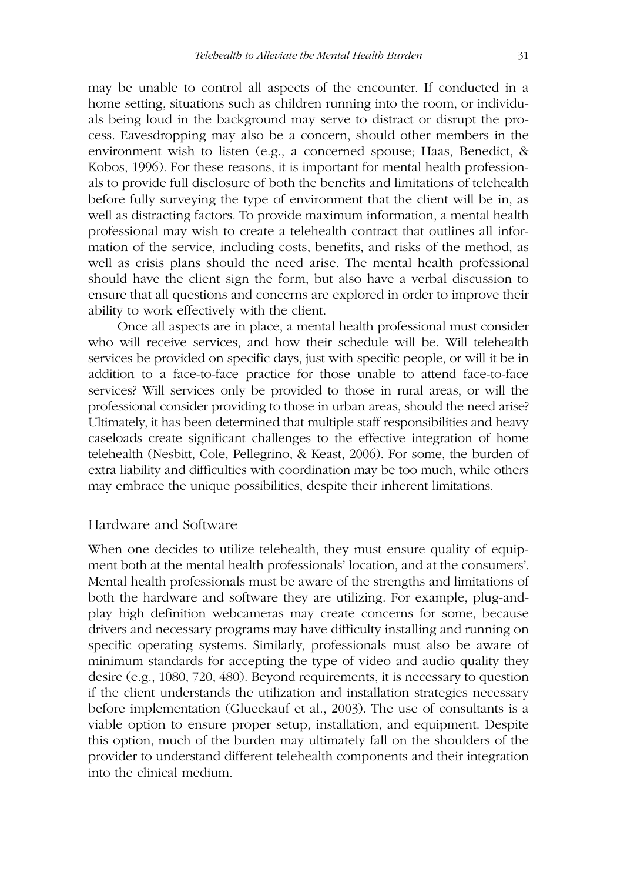may be unable to control all aspects of the encounter. If conducted in a home setting, situations such as children running into the room, or individuals being loud in the background may serve to distract or disrupt the process. Eavesdropping may also be a concern, should other members in the environment wish to listen (e.g., a concerned spouse; Haas, Benedict, & Kobos, 1996). For these reasons, it is important for mental health professionals to provide full disclosure of both the benefits and limitations of telehealth before fully surveying the type of environment that the client will be in, as well as distracting factors. To provide maximum information, a mental health professional may wish to create a telehealth contract that outlines all information of the service, including costs, benefits, and risks of the method, as well as crisis plans should the need arise. The mental health professional should have the client sign the form, but also have a verbal discussion to ensure that all questions and concerns are explored in order to improve their ability to work effectively with the client.

Once all aspects are in place, a mental health professional must consider who will receive services, and how their schedule will be. Will telehealth services be provided on specific days, just with specific people, or will it be in addition to a face-to-face practice for those unable to attend face-to-face services? Will services only be provided to those in rural areas, or will the professional consider providing to those in urban areas, should the need arise? Ultimately, it has been determined that multiple staff responsibilities and heavy caseloads create significant challenges to the effective integration of home telehealth (Nesbitt, Cole, Pellegrino, & Keast, 2006). For some, the burden of extra liability and difficulties with coordination may be too much, while others may embrace the unique possibilities, despite their inherent limitations.

# Hardware and Software

When one decides to utilize telehealth, they must ensure quality of equipment both at the mental health professionals' location, and at the consumers'. Mental health professionals must be aware of the strengths and limitations of both the hardware and software they are utilizing. For example, plug-andplay high definition webcameras may create concerns for some, because drivers and necessary programs may have difficulty installing and running on specific operating systems. Similarly, professionals must also be aware of minimum standards for accepting the type of video and audio quality they desire (e.g., 1080, 720, 480). Beyond requirements, it is necessary to question if the client understands the utilization and installation strategies necessary before implementation (Glueckauf et al., 2003). The use of consultants is a viable option to ensure proper setup, installation, and equipment. Despite this option, much of the burden may ultimately fall on the shoulders of the provider to understand different telehealth components and their integration into the clinical medium.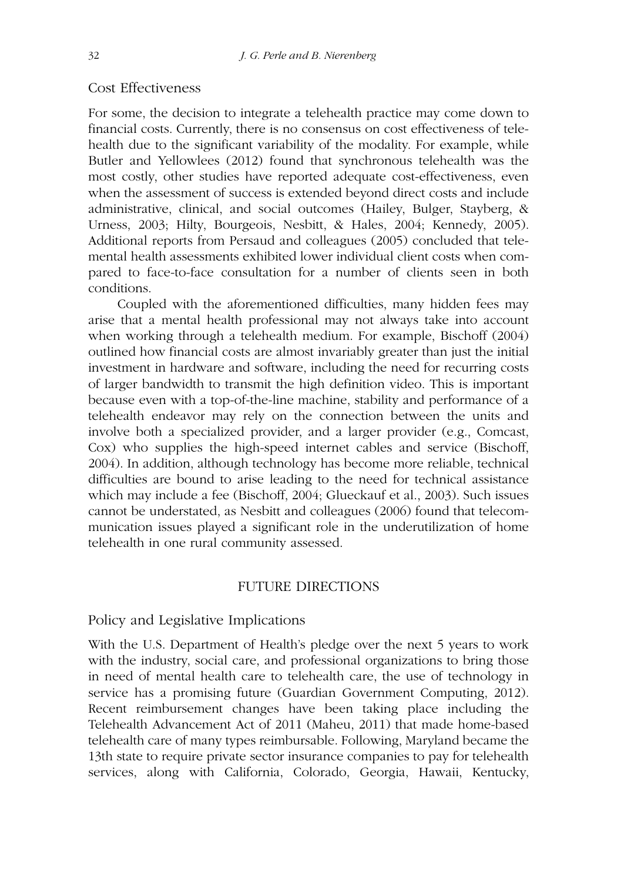# Cost Effectiveness

For some, the decision to integrate a telehealth practice may come down to financial costs. Currently, there is no consensus on cost effectiveness of telehealth due to the significant variability of the modality. For example, while Butler and Yellowlees (2012) found that synchronous telehealth was the most costly, other studies have reported adequate cost-effectiveness, even when the assessment of success is extended beyond direct costs and include administrative, clinical, and social outcomes (Hailey, Bulger, Stayberg, & Urness, 2003; Hilty, Bourgeois, Nesbitt, & Hales, 2004; Kennedy, 2005). Additional reports from Persaud and colleagues (2005) concluded that telemental health assessments exhibited lower individual client costs when compared to face-to-face consultation for a number of clients seen in both conditions.

Coupled with the aforementioned difficulties, many hidden fees may arise that a mental health professional may not always take into account when working through a telehealth medium. For example, Bischoff (2004) outlined how financial costs are almost invariably greater than just the initial investment in hardware and software, including the need for recurring costs of larger bandwidth to transmit the high definition video. This is important because even with a top-of-the-line machine, stability and performance of a telehealth endeavor may rely on the connection between the units and involve both a specialized provider, and a larger provider (e.g., Comcast, Cox) who supplies the high-speed internet cables and service (Bischoff, 2004). In addition, although technology has become more reliable, technical difficulties are bound to arise leading to the need for technical assistance which may include a fee (Bischoff, 2004; Glueckauf et al., 2003). Such issues cannot be understated, as Nesbitt and colleagues (2006) found that telecommunication issues played a significant role in the underutilization of home telehealth in one rural community assessed.

### FUTURE DIRECTIONS

# Policy and Legislative Implications

With the U.S. Department of Health's pledge over the next 5 years to work with the industry, social care, and professional organizations to bring those in need of mental health care to telehealth care, the use of technology in service has a promising future (Guardian Government Computing, 2012). Recent reimbursement changes have been taking place including the Telehealth Advancement Act of 2011 (Maheu, 2011) that made home-based telehealth care of many types reimbursable. Following, Maryland became the 13th state to require private sector insurance companies to pay for telehealth services, along with California, Colorado, Georgia, Hawaii, Kentucky,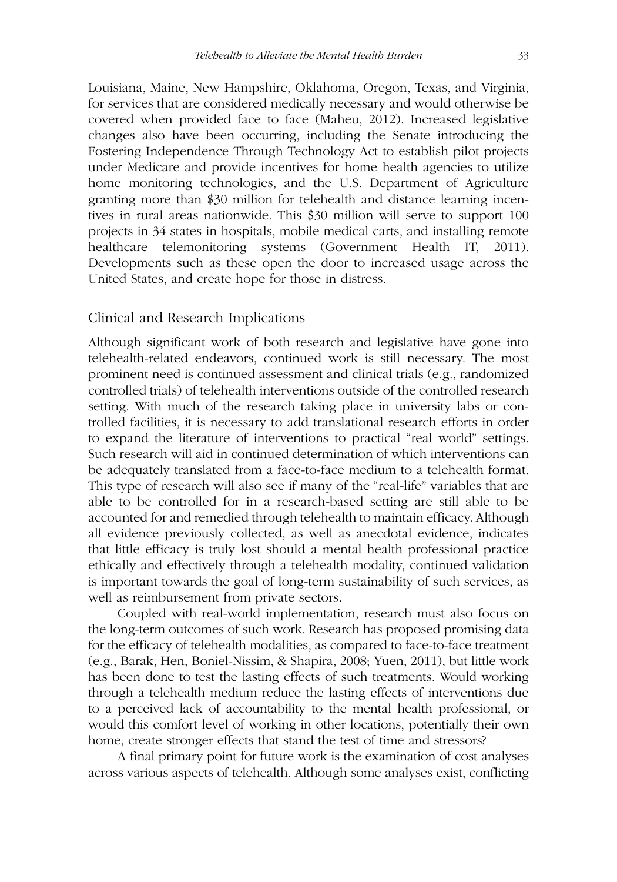Louisiana, Maine, New Hampshire, Oklahoma, Oregon, Texas, and Virginia, for services that are considered medically necessary and would otherwise be covered when provided face to face (Maheu, 2012). Increased legislative changes also have been occurring, including the Senate introducing the Fostering Independence Through Technology Act to establish pilot projects under Medicare and provide incentives for home health agencies to utilize home monitoring technologies, and the U.S. Department of Agriculture granting more than \$30 million for telehealth and distance learning incentives in rural areas nationwide. This \$30 million will serve to support 100 projects in 34 states in hospitals, mobile medical carts, and installing remote healthcare telemonitoring systems (Government Health IT, 2011). Developments such as these open the door to increased usage across the United States, and create hope for those in distress.

#### Clinical and Research Implications

Although significant work of both research and legislative have gone into telehealth-related endeavors, continued work is still necessary. The most prominent need is continued assessment and clinical trials (e.g., randomized controlled trials) of telehealth interventions outside of the controlled research setting. With much of the research taking place in university labs or controlled facilities, it is necessary to add translational research efforts in order to expand the literature of interventions to practical "real world" settings. Such research will aid in continued determination of which interventions can be adequately translated from a face-to-face medium to a telehealth format. This type of research will also see if many of the "real-life" variables that are able to be controlled for in a research-based setting are still able to be accounted for and remedied through telehealth to maintain efficacy. Although all evidence previously collected, as well as anecdotal evidence, indicates that little efficacy is truly lost should a mental health professional practice ethically and effectively through a telehealth modality, continued validation is important towards the goal of long-term sustainability of such services, as well as reimbursement from private sectors.

Coupled with real-world implementation, research must also focus on the long-term outcomes of such work. Research has proposed promising data for the efficacy of telehealth modalities, as compared to face-to-face treatment (e.g., Barak, Hen, Boniel-Nissim, & Shapira, 2008; Yuen, 2011), but little work has been done to test the lasting effects of such treatments. Would working through a telehealth medium reduce the lasting effects of interventions due to a perceived lack of accountability to the mental health professional, or would this comfort level of working in other locations, potentially their own home, create stronger effects that stand the test of time and stressors?

A final primary point for future work is the examination of cost analyses across various aspects of telehealth. Although some analyses exist, conflicting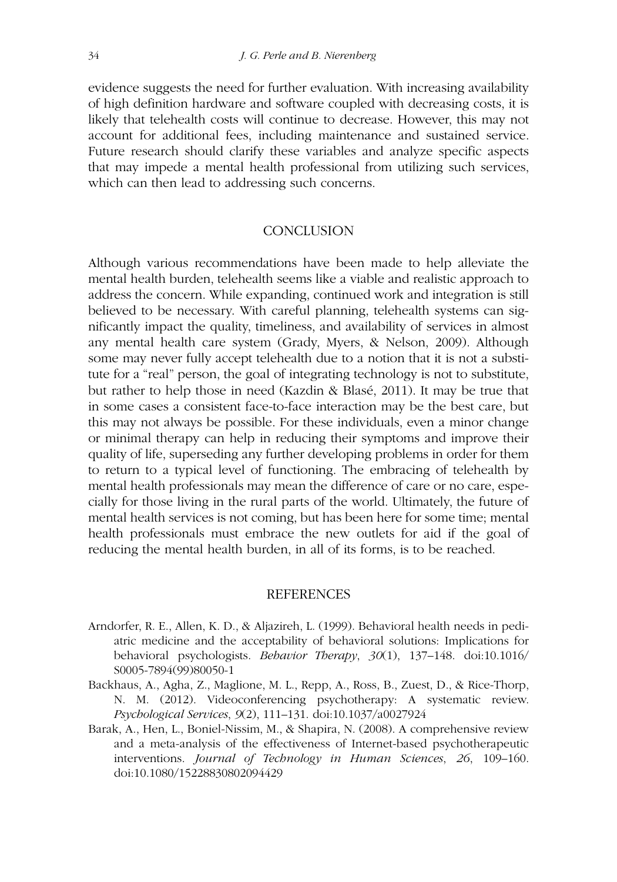evidence suggests the need for further evaluation. With increasing availability of high definition hardware and software coupled with decreasing costs, it is likely that telehealth costs will continue to decrease. However, this may not account for additional fees, including maintenance and sustained service. Future research should clarify these variables and analyze specific aspects that may impede a mental health professional from utilizing such services, which can then lead to addressing such concerns.

#### **CONCLUSION**

Although various recommendations have been made to help alleviate the mental health burden, telehealth seems like a viable and realistic approach to address the concern. While expanding, continued work and integration is still believed to be necessary. With careful planning, telehealth systems can significantly impact the quality, timeliness, and availability of services in almost any mental health care system (Grady, Myers, & Nelson, 2009). Although some may never fully accept telehealth due to a notion that it is not a substitute for a "real" person, the goal of integrating technology is not to substitute, but rather to help those in need (Kazdin & Blasé, 2011). It may be true that in some cases a consistent face-to-face interaction may be the best care, but this may not always be possible. For these individuals, even a minor change or minimal therapy can help in reducing their symptoms and improve their quality of life, superseding any further developing problems in order for them to return to a typical level of functioning. The embracing of telehealth by mental health professionals may mean the difference of care or no care, especially for those living in the rural parts of the world. Ultimately, the future of mental health services is not coming, but has been here for some time; mental health professionals must embrace the new outlets for aid if the goal of reducing the mental health burden, in all of its forms, is to be reached.

#### REFERENCES

- Arndorfer, R. E., Allen, K. D., & Aljazireh, L. (1999). Behavioral health needs in pediatric medicine and the acceptability of behavioral solutions: Implications for behavioral psychologists. Behavior Therapy, 30(1), 137–148. doi:10.1016/ S0005-7894(99)80050-1
- Backhaus, A., Agha, Z., Maglione, M. L., Repp, A., Ross, B., Zuest, D., & Rice-Thorp, N. M. (2012). Videoconferencing psychotherapy: A systematic review. Psychological Services, 9(2), 111–131. doi:10.1037/a0027924
- Barak, A., Hen, L., Boniel-Nissim, M., & Shapira, N. (2008). A comprehensive review and a meta-analysis of the effectiveness of Internet-based psychotherapeutic interventions. Journal of Technology in Human Sciences, 26, 109–160. doi:10.1080/15228830802094429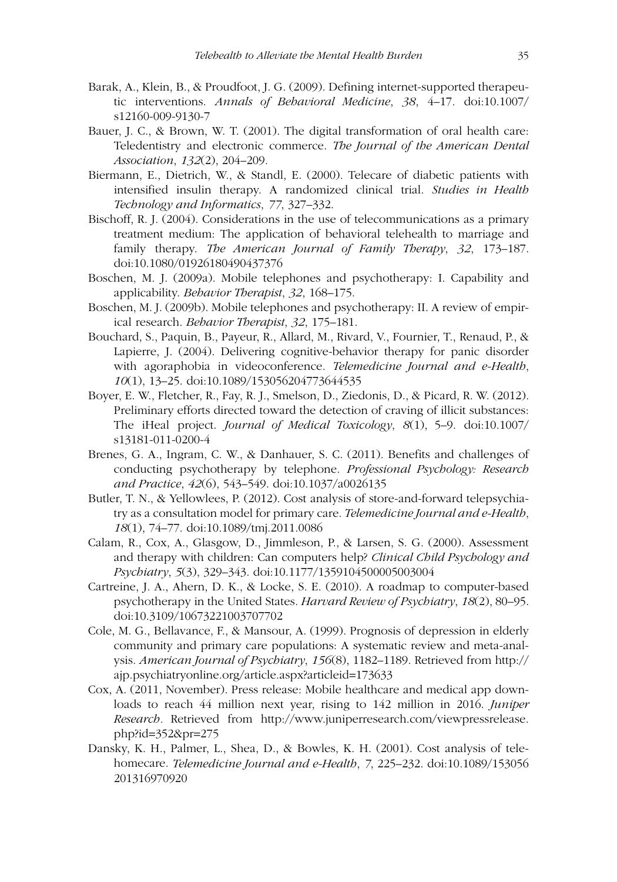- Barak, A., Klein, B., & Proudfoot, J. G. (2009). Defining internet-supported therapeutic interventions. Annals of Behavioral Medicine, 38, 4–17. doi:10.1007/ s12160-009-9130-7
- Bauer, J. C., & Brown, W. T. (2001). The digital transformation of oral health care: Teledentistry and electronic commerce. The Journal of the American Dental Association, 132(2), 204–209.
- Biermann, E., Dietrich, W., & Standl, E. (2000). Telecare of diabetic patients with intensified insulin therapy. A randomized clinical trial. Studies in Health Technology and Informatics, 77, 327–332.
- Bischoff, R. J. (2004). Considerations in the use of telecommunications as a primary treatment medium: The application of behavioral telehealth to marriage and family therapy. The American Journal of Family Therapy, 32, 173–187. doi:10.1080/01926180490437376
- Boschen, M. J. (2009a). Mobile telephones and psychotherapy: I. Capability and applicability. Behavior Therapist, 32, 168–175.
- Boschen, M. J. (2009b). Mobile telephones and psychotherapy: II. A review of empirical research. Behavior Therapist, 32, 175–181.
- Bouchard, S., Paquin, B., Payeur, R., Allard, M., Rivard, V., Fournier, T., Renaud, P., & Lapierre, J. (2004). Delivering cognitive-behavior therapy for panic disorder with agoraphobia in videoconference. Telemedicine Journal and e-Health, 10(1), 13–25. doi:10.1089/153056204773644535
- Boyer, E. W., Fletcher, R., Fay, R. J., Smelson, D., Ziedonis, D., & Picard, R. W. (2012). Preliminary efforts directed toward the detection of craving of illicit substances: The iHeal project. Journal of Medical Toxicology, 8(1), 5–9. doi:10.1007/ s13181-011-0200-4
- Brenes, G. A., Ingram, C. W., & Danhauer, S. C. (2011). Benefits and challenges of conducting psychotherapy by telephone. Professional Psychology: Research and Practice, 42(6), 543–549. doi:10.1037/a0026135
- Butler, T. N., & Yellowlees, P. (2012). Cost analysis of store-and-forward telepsychiatry as a consultation model for primary care. Telemedicine Journal and e-Health, 18(1), 74–77. doi:10.1089/tmj.2011.0086
- Calam, R., Cox, A., Glasgow, D., Jimmleson, P., & Larsen, S. G. (2000). Assessment and therapy with children: Can computers help? Clinical Child Psychology and Psychiatry, 5(3), 329–343. doi:10.1177/1359104500005003004
- Cartreine, J. A., Ahern, D. K., & Locke, S. E. (2010). A roadmap to computer-based psychotherapy in the United States. Harvard Review of Psychiatry, 18(2), 80–95. doi:10.3109/10673221003707702
- Cole, M. G., Bellavance, F., & Mansour, A. (1999). Prognosis of depression in elderly community and primary care populations: A systematic review and meta-analysis. American Journal of Psychiatry, 156(8), 1182–1189. Retrieved from http:// ajp.psychiatryonline.org/article.aspx?articleid=173633
- Cox, A. (2011, November). Press release: Mobile healthcare and medical app downloads to reach 44 million next year, rising to 142 million in 2016. Juniper Research. Retrieved from http://www.juniperresearch.com/viewpressrelease. php?id=352&pr=275
- Dansky, K. H., Palmer, L., Shea, D., & Bowles, K. H. (2001). Cost analysis of telehomecare. Telemedicine Journal and e-Health, 7, 225-232. doi:10.1089/153056 201316970920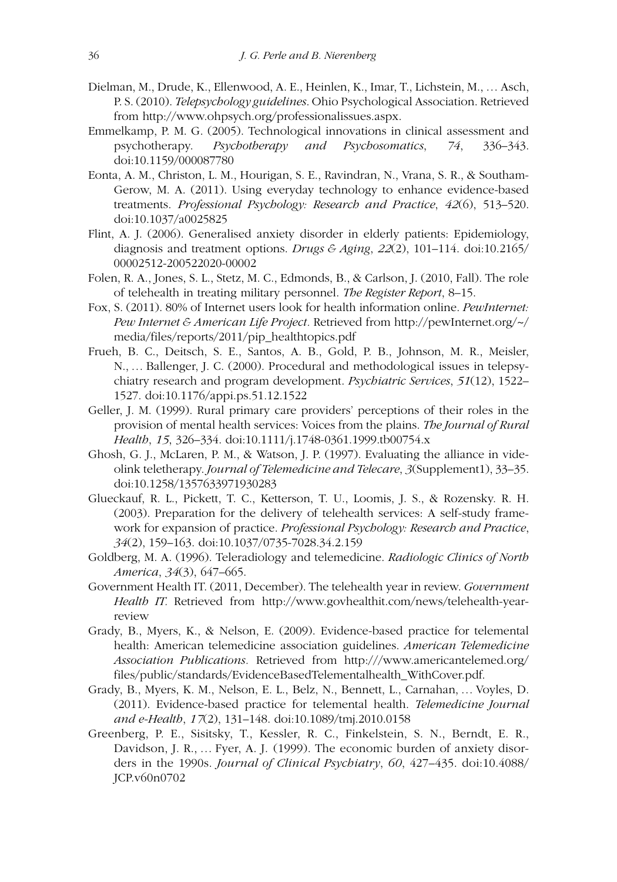- Dielman, M., Drude, K., Ellenwood, A. E., Heinlen, K., Imar, T., Lichstein, M., … Asch, P. S. (2010). Telepsychology guidelines. Ohio Psychological Association. Retrieved from http://www.ohpsych.org/professionalissues.aspx.
- Emmelkamp, P. M. G. (2005). Technological innovations in clinical assessment and psychotherapy. Psychotherapy and Psychosomatics, 74, 336–343. doi:10.1159/000087780
- Eonta, A. M., Christon, L. M., Hourigan, S. E., Ravindran, N., Vrana, S. R., & Southam-Gerow, M. A. (2011). Using everyday technology to enhance evidence-based treatments. Professional Psychology: Research and Practice, 42(6), 513–520. doi:10.1037/a0025825
- Flint, A. J. (2006). Generalised anxiety disorder in elderly patients: Epidemiology, diagnosis and treatment options. Drugs  $\&$  Aging, 22(2), 101–114. doi:10.2165/ 00002512-200522020-00002
- Folen, R. A., Jones, S. L., Stetz, M. C., Edmonds, B., & Carlson, J. (2010, Fall). The role of telehealth in treating military personnel. The Register Report, 8–15.
- Fox, S. (2011). 80% of Internet users look for health information online. PewInternet: Pew Internet & American Life Project. Retrieved from http://pewInternet.org/~/ media/files/reports/2011/pip\_healthtopics.pdf
- Frueh, B. C., Deitsch, S. E., Santos, A. B., Gold, P. B., Johnson, M. R., Meisler, N., … Ballenger, J. C. (2000). Procedural and methodological issues in telepsychiatry research and program development. Psychiatric Services, 51(12), 1522– 1527. doi:10.1176/appi.ps.51.12.1522
- Geller, J. M. (1999). Rural primary care providers' perceptions of their roles in the provision of mental health services: Voices from the plains. The Journal of Rural Health, 15, 326–334. doi:10.1111/j.1748-0361.1999.tb00754.x
- Ghosh, G. J., McLaren, P. M., & Watson, J. P. (1997). Evaluating the alliance in videolink teletherapy. Journal of Telemedicine and Telecare, 3(Supplement1), 33–35. doi:10.1258/1357633971930283
- Glueckauf, R. L., Pickett, T. C., Ketterson, T. U., Loomis, J. S., & Rozensky. R. H. (2003). Preparation for the delivery of telehealth services: A self-study framework for expansion of practice. Professional Psychology: Research and Practice, 34(2), 159–163. doi:10.1037/0735-7028.34.2.159
- Goldberg, M. A. (1996). Teleradiology and telemedicine. Radiologic Clinics of North America, 34(3), 647–665.
- Government Health IT. (2011, December). The telehealth year in review. Government Health IT. Retrieved from http://www.govhealthit.com/news/telehealth-yearreview
- Grady, B., Myers, K., & Nelson, E. (2009). Evidence-based practice for telemental health: American telemedicine association guidelines. American Telemedicine Association Publications. Retrieved from http:///www.americantelemed.org/ files/public/standards/EvidenceBasedTelementalhealth\_WithCover.pdf.
- Grady, B., Myers, K. M., Nelson, E. L., Belz, N., Bennett, L., Carnahan, … Voyles, D. (2011). Evidence-based practice for telemental health. Telemedicine Journal and e-Health, 17(2), 131–148. doi:10.1089/tmj.2010.0158
- Greenberg, P. E., Sisitsky, T., Kessler, R. C., Finkelstein, S. N., Berndt, E. R., Davidson, J. R., … Fyer, A. J. (1999). The economic burden of anxiety disorders in the 1990s. Journal of Clinical Psychiatry, 60, 427–435. doi:10.4088/ JCP.v60n0702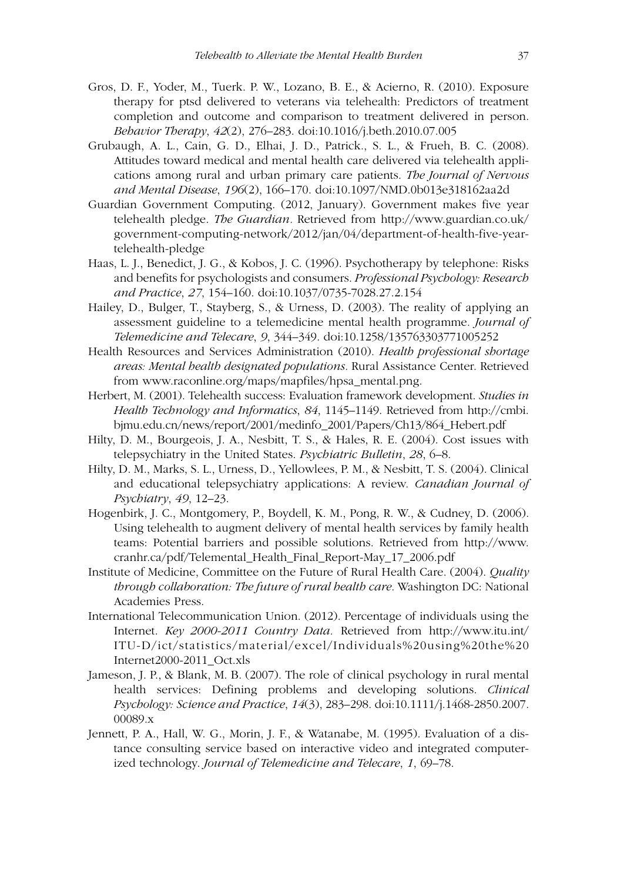- Gros, D. F., Yoder, M., Tuerk. P. W., Lozano, B. E., & Acierno, R. (2010). Exposure therapy for ptsd delivered to veterans via telehealth: Predictors of treatment completion and outcome and comparison to treatment delivered in person. Behavior Therapy, 42(2), 276–283. doi:10.1016/j.beth.2010.07.005
- Grubaugh, A. L., Cain, G. D., Elhai, J. D., Patrick., S. L., & Frueh, B. C. (2008). Attitudes toward medical and mental health care delivered via telehealth applications among rural and urban primary care patients. The Journal of Nervous and Mental Disease, 196(2), 166–170. doi:10.1097/NMD.0b013e318162aa2d
- Guardian Government Computing. (2012, January). Government makes five year telehealth pledge. The Guardian. Retrieved from http://www.guardian.co.uk/ government-computing-network/2012/jan/04/department-of-health-five-yeartelehealth-pledge
- Haas, L. J., Benedict, J. G., & Kobos, J. C. (1996). Psychotherapy by telephone: Risks and benefits for psychologists and consumers. Professional Psychology: Research and Practice, 27, 154–160. doi:10.1037/0735-7028.27.2.154
- Hailey, D., Bulger, T., Stayberg, S., & Urness, D. (2003). The reality of applying an assessment guideline to a telemedicine mental health programme. Journal of Telemedicine and Telecare, 9, 344–349. doi:10.1258/135763303771005252
- Health Resources and Services Administration (2010). Health professional shortage areas: Mental health designated populations. Rural Assistance Center. Retrieved from www.raconline.org/maps/mapfiles/hpsa\_mental.png.
- Herbert, M. (2001). Telehealth success: Evaluation framework development. Studies in Health Technology and Informatics, 84, 1145–1149. Retrieved from http://cmbi. bjmu.edu.cn/news/report/2001/medinfo\_2001/Papers/Ch13/864\_Hebert.pdf
- Hilty, D. M., Bourgeois, J. A., Nesbitt, T. S., & Hales, R. E. (2004). Cost issues with telepsychiatry in the United States. Psychiatric Bulletin, 28, 6–8.
- Hilty, D. M., Marks, S. L., Urness, D., Yellowlees, P. M., & Nesbitt, T. S. (2004). Clinical and educational telepsychiatry applications: A review. Canadian Journal of Psychiatry, 49, 12–23.
- Hogenbirk, J. C., Montgomery, P., Boydell, K. M., Pong, R. W., & Cudney, D. (2006). Using telehealth to augment delivery of mental health services by family health teams: Potential barriers and possible solutions. Retrieved from http://www. cranhr.ca/pdf/Telemental\_Health\_Final\_Report-May\_17\_2006.pdf
- Institute of Medicine, Committee on the Future of Rural Health Care. (2004). Quality through collaboration: The future of rural health care. Washington DC: National Academies Press.
- International Telecommunication Union. (2012). Percentage of individuals using the Internet. Key 2000-2011 Country Data. Retrieved from http://www.itu.int/ ITU-D/ict/statistics/material/excel/Individuals%20using%20the%20 Internet2000-2011\_Oct.xls
- Jameson, J. P., & Blank, M. B. (2007). The role of clinical psychology in rural mental health services: Defining problems and developing solutions. Clinical Psychology: Science and Practice, 14(3), 283–298. doi:10.1111/j.1468-2850.2007. 00089.x
- Jennett, P. A., Hall, W. G., Morin, J. F., & Watanabe, M. (1995). Evaluation of a distance consulting service based on interactive video and integrated computerized technology. Journal of Telemedicine and Telecare, 1, 69–78.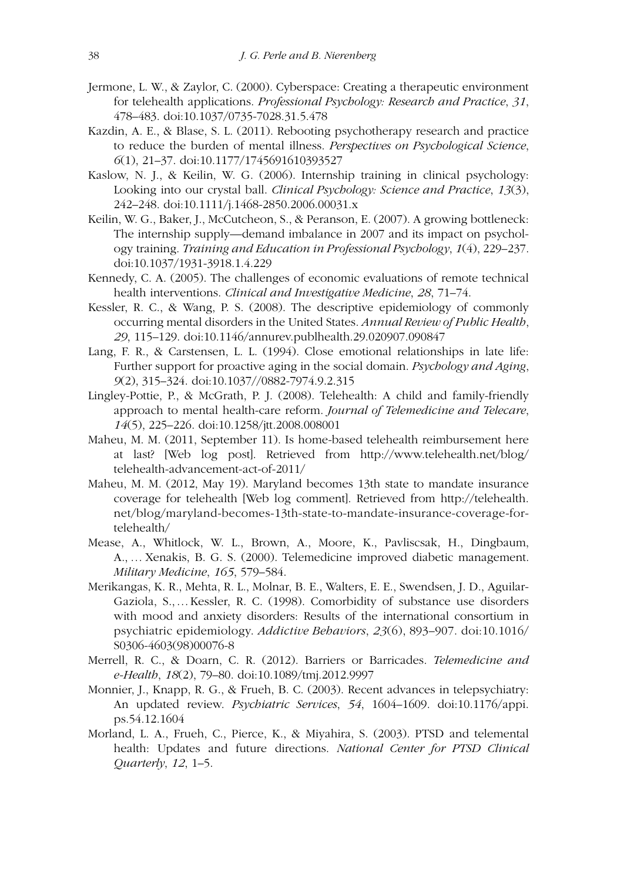- Jermone, L. W., & Zaylor, C. (2000). Cyberspace: Creating a therapeutic environment for telehealth applications. Professional Psychology: Research and Practice, 31, 478–483. doi:10.1037/0735-7028.31.5.478
- Kazdin, A. E., & Blase, S. L. (2011). Rebooting psychotherapy research and practice to reduce the burden of mental illness. Perspectives on Psychological Science, 6(1), 21–37. doi:10.1177/1745691610393527
- Kaslow, N. J., & Keilin, W. G. (2006). Internship training in clinical psychology: Looking into our crystal ball. *Clinical Psychology: Science and Practice*, 13(3), 242–248. doi:10.1111/j.1468-2850.2006.00031.x
- Keilin, W. G., Baker, J., McCutcheon, S., & Peranson, E. (2007). A growing bottleneck: The internship supply—demand imbalance in 2007 and its impact on psychology training. Training and Education in Professional Psychology, 1(4), 229–237. doi:10.1037/1931-3918.1.4.229
- Kennedy, C. A. (2005). The challenges of economic evaluations of remote technical health interventions. Clinical and Investigative Medicine, 28, 71–74.
- Kessler, R. C., & Wang, P. S. (2008). The descriptive epidemiology of commonly occurring mental disorders in the United States. Annual Review of Public Health, 29, 115–129. doi:10.1146/annurev.publhealth.29.020907.090847
- Lang, F. R., & Carstensen, L. L. (1994). Close emotional relationships in late life: Further support for proactive aging in the social domain. Psychology and Aging, 9(2), 315–324. doi:10.1037//0882-7974.9.2.315
- Lingley-Pottie, P., & McGrath, P. J. (2008). Telehealth: A child and family-friendly approach to mental health-care reform. Journal of Telemedicine and Telecare, 14(5), 225–226. doi:10.1258/jtt.2008.008001
- Maheu, M. M. (2011, September 11). Is home-based telehealth reimbursement here at last? [Web log post]. Retrieved from http://www.telehealth.net/blog/ telehealth-advancement-act-of-2011/
- Maheu, M. M. (2012, May 19). Maryland becomes 13th state to mandate insurance coverage for telehealth [Web log comment]. Retrieved from http://telehealth. net/blog/maryland-becomes-13th-state-to-mandate-insurance-coverage-fortelehealth/
- Mease, A., Whitlock, W. L., Brown, A., Moore, K., Pavliscsak, H., Dingbaum, A., … Xenakis, B. G. S. (2000). Telemedicine improved diabetic management. Military Medicine, 165, 579–584.
- Merikangas, K. R., Mehta, R. L., Molnar, B. E., Walters, E. E., Swendsen, J. D., Aguilar-Gaziola, S., … Kessler, R. C. (1998). Comorbidity of substance use disorders with mood and anxiety disorders: Results of the international consortium in psychiatric epidemiology. Addictive Behaviors, 23(6), 893–907. doi:10.1016/ S0306-4603(98)00076-8
- Merrell, R. C., & Doarn, C. R. (2012). Barriers or Barricades. Telemedicine and e-Health, 18(2), 79–80. doi:10.1089/tmj.2012.9997
- Monnier, J., Knapp, R. G., & Frueh, B. C. (2003). Recent advances in telepsychiatry: An updated review. Psychiatric Services, 54, 1604–1609. doi:10.1176/appi. ps.54.12.1604
- Morland, L. A., Frueh, C., Pierce, K., & Miyahira, S. (2003). PTSD and telemental health: Updates and future directions. National Center for PTSD Clinical Quarterly, 12, 1–5.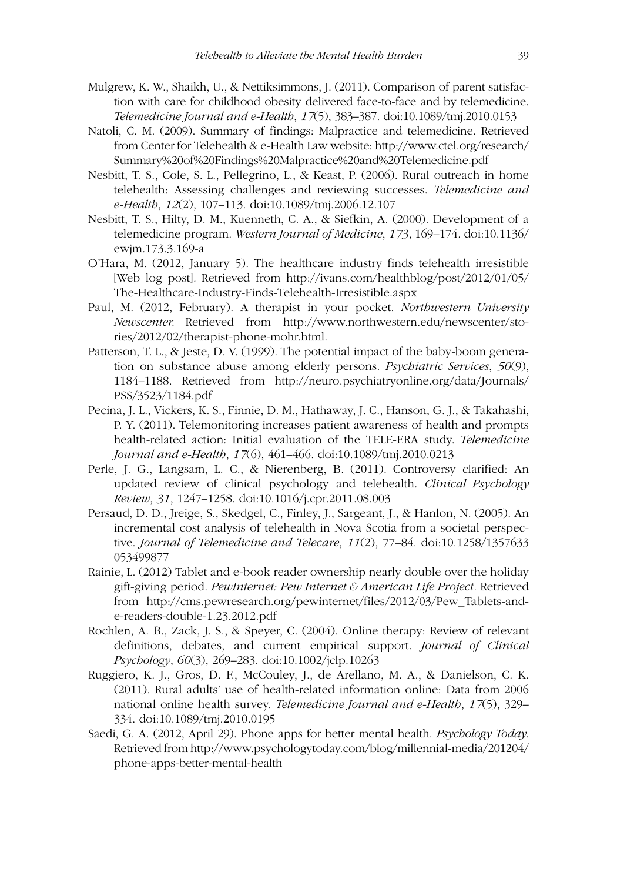- Mulgrew, K. W., Shaikh, U., & Nettiksimmons, J. (2011). Comparison of parent satisfaction with care for childhood obesity delivered face-to-face and by telemedicine. Telemedicine Journal and e-Health, 17(5), 383–387. doi:10.1089/tmj.2010.0153
- Natoli, C. M. (2009). Summary of findings: Malpractice and telemedicine. Retrieved from Center for Telehealth & e-Health Law website: http://www.ctel.org/research/ Summary%20of%20Findings%20Malpractice%20and%20Telemedicine.pdf
- Nesbitt, T. S., Cole, S. L., Pellegrino, L., & Keast, P. (2006). Rural outreach in home telehealth: Assessing challenges and reviewing successes. Telemedicine and e-Health, 12(2), 107–113. doi:10.1089/tmj.2006.12.107
- Nesbitt, T. S., Hilty, D. M., Kuenneth, C. A., & Siefkin, A. (2000). Development of a telemedicine program. Western Journal of Medicine, 173, 169–174. doi:10.1136/ ewjm.173.3.169-a
- O'Hara, M. (2012, January 5). The healthcare industry finds telehealth irresistible [Web log post]. Retrieved from http://ivans.com/healthblog/post/2012/01/05/ The-Healthcare-Industry-Finds-Telehealth-Irresistible.aspx
- Paul, M. (2012, February). A therapist in your pocket. Northwestern University Newscenter. Retrieved from http://www.northwestern.edu/newscenter/stories/2012/02/therapist-phone-mohr.html.
- Patterson, T. L., & Jeste, D. V. (1999). The potential impact of the baby-boom generation on substance abuse among elderly persons. Psychiatric Services, 50(9), 1184–1188. Retrieved from http://neuro.psychiatryonline.org/data/Journals/ PSS/3523/1184.pdf
- Pecina, J. L., Vickers, K. S., Finnie, D. M., Hathaway, J. C., Hanson, G. J., & Takahashi, P. Y. (2011). Telemonitoring increases patient awareness of health and prompts health-related action: Initial evaluation of the TELE-ERA study. Telemedicine Journal and e-Health, 17(6), 461–466. doi:10.1089/tmj.2010.0213
- Perle, J. G., Langsam, L. C., & Nierenberg, B. (2011). Controversy clarified: An updated review of clinical psychology and telehealth. Clinical Psychology Review, 31, 1247–1258. doi:10.1016/j.cpr.2011.08.003
- Persaud, D. D., Jreige, S., Skedgel, C., Finley, J., Sargeant, J., & Hanlon, N. (2005). An incremental cost analysis of telehealth in Nova Scotia from a societal perspective. Journal of Telemedicine and Telecare, 11(2), 77-84. doi:10.1258/1357633 053499877
- Rainie, L. (2012) Tablet and e-book reader ownership nearly double over the holiday gift-giving period. PewInternet: Pew Internet & American Life Project. Retrieved from http://cms.pewresearch.org/pewinternet/files/2012/03/Pew\_Tablets-ande-readers-double-1.23.2012.pdf
- Rochlen, A. B., Zack, J. S., & Speyer, C. (2004). Online therapy: Review of relevant definitions, debates, and current empirical support. Journal of Clinical Psychology, 60(3), 269–283. doi:10.1002/jclp.10263
- Ruggiero, K. J., Gros, D. F., McCouley, J., de Arellano, M. A., & Danielson, C. K. (2011). Rural adults' use of health-related information online: Data from 2006 national online health survey. Telemedicine Journal and e-Health, 17(5), 329– 334. doi:10.1089/tmj.2010.0195
- Saedi, G. A. (2012, April 29). Phone apps for better mental health. Psychology Today. Retrieved from http://www.psychologytoday.com/blog/millennial-media/201204/ phone-apps-better-mental-health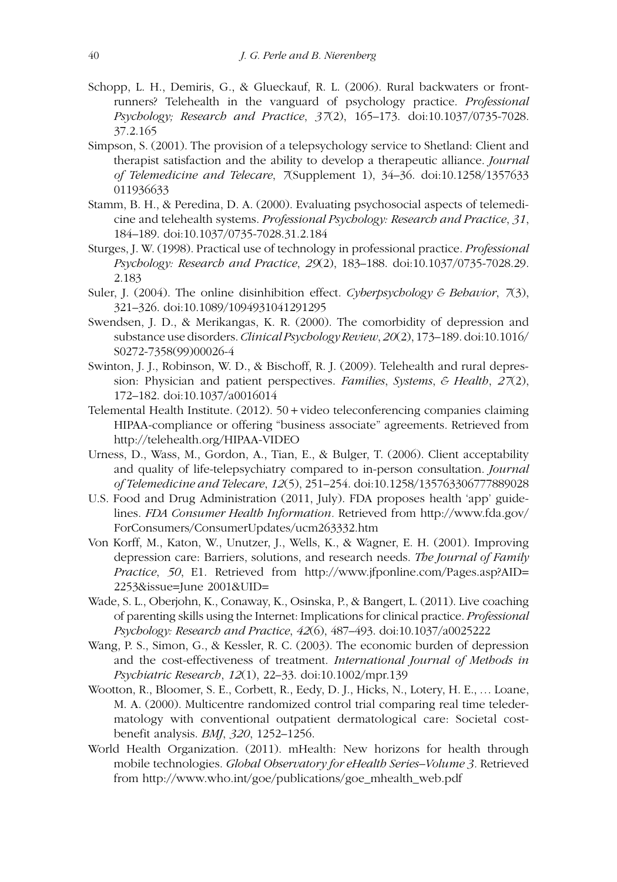- Schopp, L. H., Demiris, G., & Glueckauf, R. L. (2006). Rural backwaters or frontrunners? Telehealth in the vanguard of psychology practice. Professional Psychology; Research and Practice, 37(2), 165–173. doi:10.1037/0735-7028. 37.2.165
- Simpson, S. (2001). The provision of a telepsychology service to Shetland: Client and therapist satisfaction and the ability to develop a therapeutic alliance. Journal of Telemedicine and Telecare, 7(Supplement 1), 34–36. doi:10.1258/1357633 011936633
- Stamm, B. H., & Peredina, D. A. (2000). Evaluating psychosocial aspects of telemedicine and telehealth systems. Professional Psychology: Research and Practice, 31, 184–189. doi:10.1037/0735-7028.31.2.184
- Sturges, J. W. (1998). Practical use of technology in professional practice. Professional Psychology: Research and Practice, 29(2), 183–188. doi:10.1037/0735-7028.29. 2.183
- Suler, J. (2004). The online disinhibition effect. Cyberpsychology & Behavior, 7(3), 321–326. doi:10.1089/1094931041291295
- Swendsen, J. D., & Merikangas, K. R. (2000). The comorbidity of depression and substance use disorders. Clinical Psychology Review, 20(2), 173–189. doi:10.1016/ S0272-7358(99)00026-4
- Swinton, J. J., Robinson, W. D., & Bischoff, R. J. (2009). Telehealth and rural depression: Physician and patient perspectives. Families, Systems, & Health,  $27(2)$ , 172–182. doi:10.1037/a0016014
- Telemental Health Institute. (2012). 50 + video teleconferencing companies claiming HIPAA-compliance or offering "business associate" agreements. Retrieved from http://telehealth.org/HIPAA-VIDEO
- Urness, D., Wass, M., Gordon, A., Tian, E., & Bulger, T. (2006). Client acceptability and quality of life-telepsychiatry compared to in-person consultation. Journal of Telemedicine and Telecare, 12(5), 251–254. doi:10.1258/135763306777889028
- U.S. Food and Drug Administration (2011, July). FDA proposes health 'app' guidelines. FDA Consumer Health Information. Retrieved from http://www.fda.gov/ ForConsumers/ConsumerUpdates/ucm263332.htm
- Von Korff, M., Katon, W., Unutzer, J., Wells, K., & Wagner, E. H. (2001). Improving depression care: Barriers, solutions, and research needs. The Journal of Family Practice, 50, E1. Retrieved from http://www.jfponline.com/Pages.asp?AID= 2253&issue=June 2001&UID=
- Wade, S. L., Oberjohn, K., Conaway, K., Osinska, P., & Bangert, L. (2011). Live coaching of parenting skills using the Internet: Implications for clinical practice. Professional Psychology: Research and Practice, 42(6), 487–493. doi:10.1037/a0025222
- Wang, P. S., Simon, G., & Kessler, R. C. (2003). The economic burden of depression and the cost-effectiveness of treatment. International Journal of Methods in Psychiatric Research, 12(1), 22–33. doi:10.1002/mpr.139
- Wootton, R., Bloomer, S. E., Corbett, R., Eedy, D. J., Hicks, N., Lotery, H. E., … Loane, M. A. (2000). Multicentre randomized control trial comparing real time teledermatology with conventional outpatient dermatological care: Societal costbenefit analysis. BMJ, 320, 1252–1256.
- World Health Organization. (2011). mHealth: New horizons for health through mobile technologies. Global Observatory for eHealth Series–Volume 3. Retrieved from http://www.who.int/goe/publications/goe\_mhealth\_web.pdf